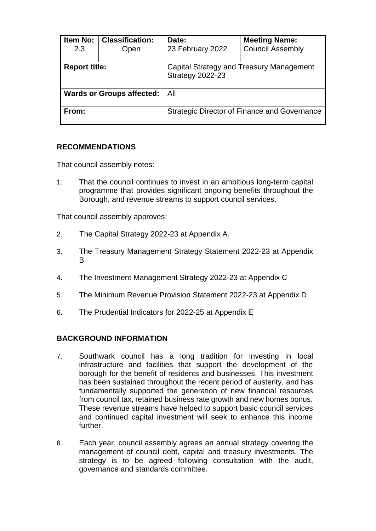| <b>Item No:</b><br>2.3           | <b>Classification:</b><br>Open | Date:<br>23 February 2022                                    | <b>Meeting Name:</b><br><b>Council Assembly</b> |  |
|----------------------------------|--------------------------------|--------------------------------------------------------------|-------------------------------------------------|--|
| <b>Report title:</b>             |                                | Capital Strategy and Treasury Management<br>Strategy 2022-23 |                                                 |  |
| <b>Wards or Groups affected:</b> |                                | All                                                          |                                                 |  |
| From:                            |                                | <b>Strategic Director of Finance and Governance</b>          |                                                 |  |

## **RECOMMENDATIONS**

That council assembly notes:

1. That the council continues to invest in an ambitious long-term capital programme that provides significant ongoing benefits throughout the Borough, and revenue streams to support council services.

That council assembly approves:

- 2. The Capital Strategy 2022-23 at Appendix A.
- 3. The Treasury Management Strategy Statement 2022-23 at Appendix B
- 4. The Investment Management Strategy 2022-23 at Appendix C
- 5. The Minimum Revenue Provision Statement 2022-23 at Appendix D
- 6. The Prudential Indicators for 2022-25 at Appendix E

# **BACKGROUND INFORMATION**

- 7. Southwark council has a long tradition for investing in local infrastructure and facilities that support the development of the borough for the benefit of residents and businesses. This investment has been sustained throughout the recent period of austerity, and has fundamentally supported the generation of new financial resources from council tax, retained business rate growth and new homes bonus. These revenue streams have helped to support basic council services and continued capital investment will seek to enhance this income further.
- 8. Each year, council assembly agrees an annual strategy covering the management of council debt, capital and treasury investments. The strategy is to be agreed following consultation with the audit, governance and standards committee.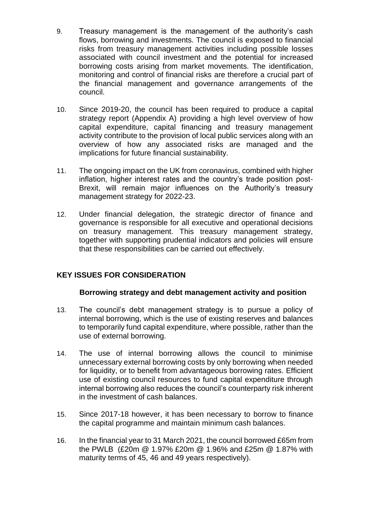- 9. Treasury management is the management of the authority's cash flows, borrowing and investments. The council is exposed to financial risks from treasury management activities including possible losses associated with council investment and the potential for increased borrowing costs arising from market movements. The identification, monitoring and control of financial risks are therefore a crucial part of the financial management and governance arrangements of the council.
- 10. Since 2019-20, the council has been required to produce a capital strategy report (Appendix A) providing a high level overview of how capital expenditure, capital financing and treasury management activity contribute to the provision of local public services along with an overview of how any associated risks are managed and the implications for future financial sustainability.
- 11. The ongoing impact on the UK from coronavirus, combined with higher inflation, higher interest rates and the country's trade position post-Brexit, will remain major influences on the Authority's treasury management strategy for 2022-23.
- 12. Under financial delegation, the strategic director of finance and governance is responsible for all executive and operational decisions on treasury management. This treasury management strategy, together with supporting prudential indicators and policies will ensure that these responsibilities can be carried out effectively.

# **KEY ISSUES FOR CONSIDERATION**

## **Borrowing strategy and debt management activity and position**

- 13. The council's debt management strategy is to pursue a policy of internal borrowing, which is the use of existing reserves and balances to temporarily fund capital expenditure, where possible, rather than the use of external borrowing.
- 14. The use of internal borrowing allows the council to minimise unnecessary external borrowing costs by only borrowing when needed for liquidity, or to benefit from advantageous borrowing rates. Efficient use of existing council resources to fund capital expenditure through internal borrowing also reduces the council's counterparty risk inherent in the investment of cash balances.
- 15. Since 2017-18 however, it has been necessary to borrow to finance the capital programme and maintain minimum cash balances.
- 16. In the financial year to 31 March 2021, the council borrowed £65m from the PWLB (£20m @ 1.97% £20m @ 1.96% and £25m @ 1.87% with maturity terms of 45, 46 and 49 years respectively).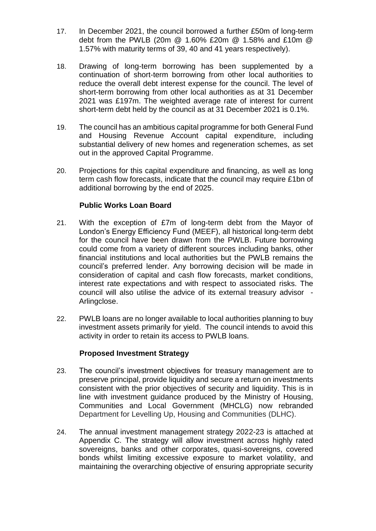- 17. In December 2021, the council borrowed a further £50m of long-term debt from the PWLB (20m @ 1.60% £20m @ 1.58% and £10m @ 1.57% with maturity terms of 39, 40 and 41 years respectively).
- 18. Drawing of long-term borrowing has been supplemented by a continuation of short-term borrowing from other local authorities to reduce the overall debt interest expense for the council. The level of short-term borrowing from other local authorities as at 31 December 2021 was £197m. The weighted average rate of interest for current short-term debt held by the council as at 31 December 2021 is 0.1%.
- 19. The council has an ambitious capital programme for both General Fund and Housing Revenue Account capital expenditure, including substantial delivery of new homes and regeneration schemes, as set out in the approved Capital Programme.
- 20. Projections for this capital expenditure and financing, as well as long term cash flow forecasts, indicate that the council may require £1bn of additional borrowing by the end of 2025.

## **Public Works Loan Board**

- 21. With the exception of £7m of long-term debt from the Mayor of London's Energy Efficiency Fund (MEEF), all historical long-term debt for the council have been drawn from the PWLB. Future borrowing could come from a variety of different sources including banks, other financial institutions and local authorities but the PWLB remains the council's preferred lender. Any borrowing decision will be made in consideration of capital and cash flow forecasts, market conditions, interest rate expectations and with respect to associated risks. The council will also utilise the advice of its external treasury advisor - Arlingclose.
- 22. PWLB loans are no longer available to local authorities planning to buy investment assets primarily for yield. The council intends to avoid this activity in order to retain its access to PWLB loans.

## **Proposed Investment Strategy**

- 23. The council's investment objectives for treasury management are to preserve principal, provide liquidity and secure a return on investments consistent with the prior objectives of security and liquidity. This is in line with investment guidance produced by the Ministry of Housing, Communities and Local Government (MHCLG) now rebranded Department for Levelling Up, Housing and Communities (DLHC).
- 24. The annual investment management strategy 2022-23 is attached at Appendix C. The strategy will allow investment across highly rated sovereigns, banks and other corporates, quasi-sovereigns, covered bonds whilst limiting excessive exposure to market volatility, and maintaining the overarching objective of ensuring appropriate security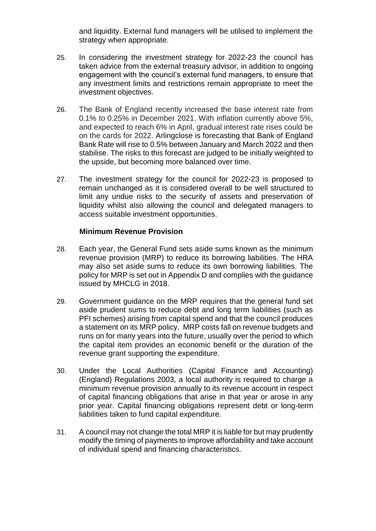and liquidity. External fund managers will be utilised to implement the strategy when appropriate.

- 25. In considering the investment strategy for 2022-23 the council has taken advice from the external treasury advisor, in addition to ongoing engagement with the council's external fund managers, to ensure that any investment limits and restrictions remain appropriate to meet the investment objectives.
- 26. The Bank of England recently increased the base interest rate from 0.1% to 0.25% in December 2021. With inflation currently above 5%, and expected to reach 6% in April, gradual interest rate rises could be on the cards for 2022. Arlingclose is forecasting that Bank of England Bank Rate will rise to 0.5% between January and March 2022 and then stabilise. The risks to this forecast are judged to be initially weighted to the upside, but becoming more balanced over time.
- 27. The investment strategy for the council for 2022-23 is proposed to remain unchanged as it is considered overall to be well structured to limit any undue risks to the security of assets and preservation of liquidity whilst also allowing the council and delegated managers to access suitable investment opportunities.

## **Minimum Revenue Provision**

- 28. Each year, the General Fund sets aside sums known as the minimum revenue provision (MRP) to reduce its borrowing liabilities. The HRA may also set aside sums to reduce its own borrowing liabilities. The policy for MRP is set out in Appendix D and complies with the guidance issued by MHCLG in 2018.
- 29. Government guidance on the MRP requires that the general fund set aside prudent sums to reduce debt and long term liabilities (such as PFI schemes) arising from capital spend and that the council produces a statement on its MRP policy. MRP costs fall on revenue budgets and runs on for many years into the future, usually over the period to which the capital item provides an economic benefit or the duration of the revenue grant supporting the expenditure.
- 30. Under the Local Authorities (Capital Finance and Accounting) (England) Regulations 2003, a local authority is required to charge a minimum revenue provision annually to its revenue account in respect of capital financing obligations that arise in that year or arose in any prior year. Capital financing obligations represent debt or long-term liabilities taken to fund capital expenditure.
- 31. A council may not change the total MRP it is liable for but may prudently modify the timing of payments to improve affordability and take account of individual spend and financing characteristics.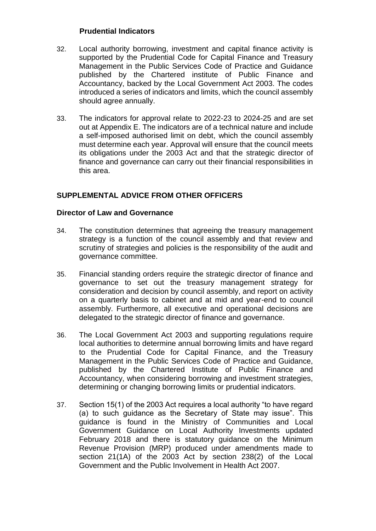## **Prudential Indicators**

- 32. Local authority borrowing, investment and capital finance activity is supported by the Prudential Code for Capital Finance and Treasury Management in the Public Services Code of Practice and Guidance published by the Chartered institute of Public Finance and Accountancy, backed by the Local Government Act 2003. The codes introduced a series of indicators and limits, which the council assembly should agree annually.
- 33. The indicators for approval relate to 2022-23 to 2024-25 and are set out at Appendix E. The indicators are of a technical nature and include a self-imposed authorised limit on debt, which the council assembly must determine each year. Approval will ensure that the council meets its obligations under the 2003 Act and that the strategic director of finance and governance can carry out their financial responsibilities in this area.

# **SUPPLEMENTAL ADVICE FROM OTHER OFFICERS**

## **Director of Law and Governance**

- 34. The constitution determines that agreeing the treasury management strategy is a function of the council assembly and that review and scrutiny of strategies and policies is the responsibility of the audit and governance committee.
- 35. Financial standing orders require the strategic director of finance and governance to set out the treasury management strategy for consideration and decision by council assembly, and report on activity on a quarterly basis to cabinet and at mid and year-end to council assembly. Furthermore, all executive and operational decisions are delegated to the strategic director of finance and governance.
- 36. The Local Government Act 2003 and supporting regulations require local authorities to determine annual borrowing limits and have regard to the Prudential Code for Capital Finance, and the Treasury Management in the Public Services Code of Practice and Guidance, published by the Chartered Institute of Public Finance and Accountancy, when considering borrowing and investment strategies, determining or changing borrowing limits or prudential indicators.
- 37. Section 15(1) of the 2003 Act requires a local authority "to have regard (a) to such guidance as the Secretary of State may issue". This guidance is found in the Ministry of Communities and Local Government Guidance on Local Authority Investments updated February 2018 and there is statutory guidance on the Minimum Revenue Provision (MRP) produced under amendments made to section 21(1A) of the 2003 Act by section 238(2) of the Local Government and the Public Involvement in Health Act 2007.